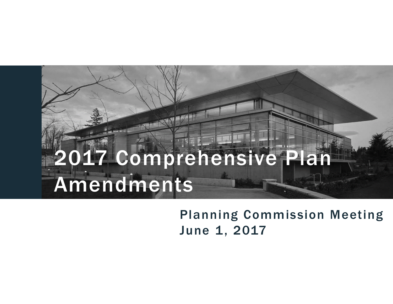Planning Commission Meeting June 1, 2017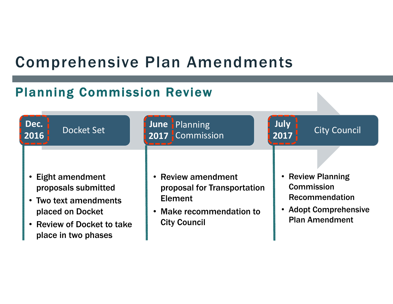#### Planning Commission Review

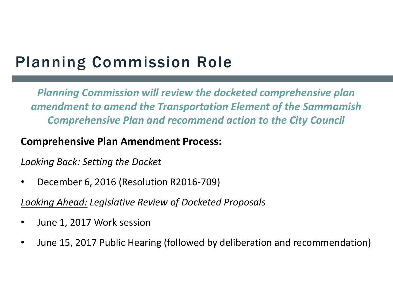# Planning Commission Role

*Planning Commission will review the docketed comprehensive plan amendment to amend the Transportation Element of the Sammamish Comprehensive Plan and recommend action to the City Council*

#### **Comprehensive Plan Amendment Process:**

#### *Looking Back: Setting the Docket*

 $\bullet$ December 6, 2016 (Resolution R2016‐709)

*Looking Ahead: Legislative Review of Docketed Proposals*

- •June 1, 2017 Work session
- $\bullet$ June 15, 2017 Public Hearing (followed by deliberation and recommendation)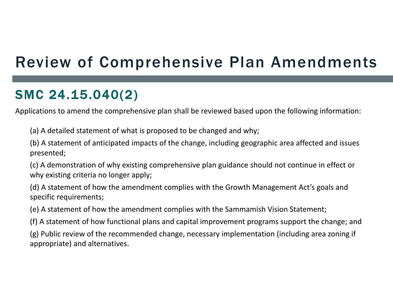# Review of Comprehensive Plan Amendments

#### SMC 24.15.040(2)

Applications to amend the comprehensive plan shall be reviewed based upon the following information:

(a) A detailed statement of what is proposed to be changed and why;

(b) A statement of anticipated impacts of the change, including geographic area affected and issues presented;

(c) A demonstration of why existing comprehensive plan guidance should not continue in effect or why existing criteria no longer apply;

(d) A statement of how the amendment complies with the Growth Management Act's goals and specific requirements;

(e) A statement of how the amendment complies with the Sammamish Vision Statement;

(f) A statement of how functional plans and capital improvement programs support the change; and

(g) Public review of the recommended change, necessary implementation (including area zoning if appropriate) and alternatives.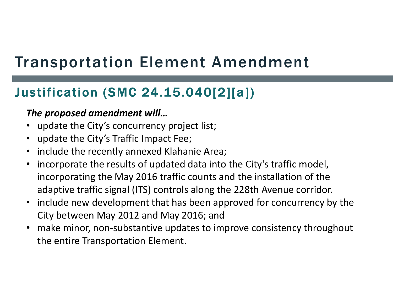## Justification (SMC 24.15.040[2][a])

#### *The proposed amendment will…*

- update the City's concurrency project list;
- update the City's Traffic Impact Fee;
- include the recently annexed Klahanie Area;
- • incorporate the results of updated data into the City's traffic model, incorporating the May 2016 traffic counts and the installation of the adaptive traffic signal (ITS) controls along the 228th Avenue corridor.
- include new development that has been approved for concurrency by the City between May 2012 and May 2016; and
- make minor, non-substantive updates to improve consistency throughout the entire Transportation Element.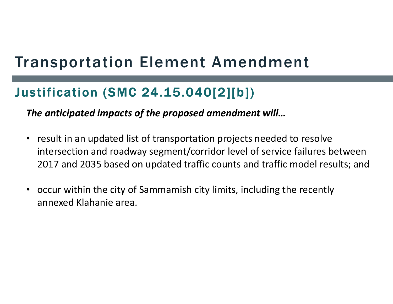#### Justification (SMC 24.15.040[2][b])

*The anticipated impacts of the proposed amendment will…*

- result in an updated list of transportation projects needed to resolve intersection and roadway segment/corridor level of service failures between 2017 and 2035 based on updated traffic counts and traffic model results; and
- occur within the city of Sammamish city limits, including the recently annexed Klahanie area.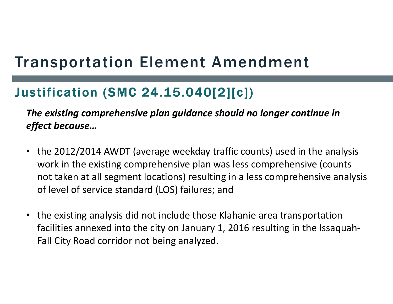## Justification (SMC 24.15.040[2][c])

*The existing comprehensive plan guidance should no longer continue in effect because…*

- the 2012/2014 AWDT (average weekday traffic counts) used in the analysis work in the existing comprehensive plan was less comprehensive (counts not taken at all segment locations) resulting in a less comprehensive analysis of level of service standard (LOS) failures; and
- the existing analysis did not include those Klahanie area transportation facilities annexed into the city on January 1, 2016 resulting in the Issaquah‐ Fall City Road corridor not being analyzed.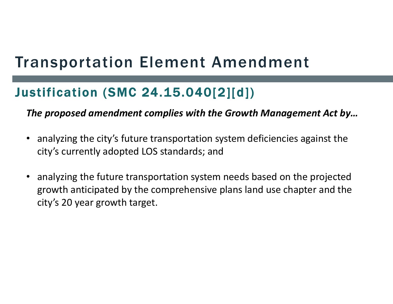## Justification (SMC 24.15.040[2][d])

*The proposed amendment complies with the Growth Management Act by…*

- analyzing the city's future transportation system deficiencies against the city's currently adopted LOS standards; and
- analyzing the future transportation system needs based on the projected growth anticipated by the comprehensive plans land use chapter and the city's 20 year growth target.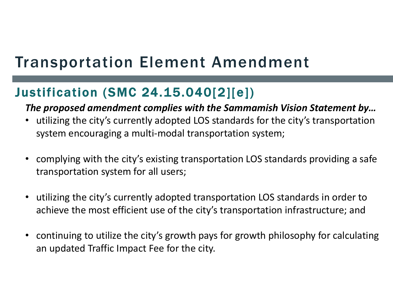#### Justification (SMC 24.15.040[2][e])

#### *The proposed amendment complies with the Sammamish Vision Statement by…*

- utilizing the city's currently adopted LOS standards for the city's transportation system encouraging a multi-modal transportation system;
- complying with the city's existing transportation LOS standards providing a safe transportation system for all users;
- • utilizing the city's currently adopted transportation LOS standards in order to achieve the most efficient use of the city's transportation infrastructure; and
- continuing to utilize the city's growth pays for growth philosophy for calculating an updated Traffic Impact Fee for the city.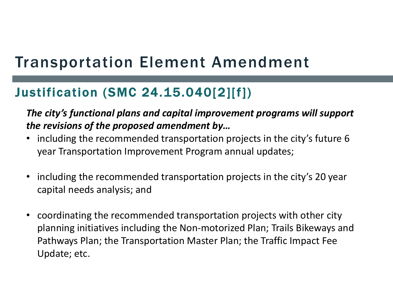## Justification (SMC 24.15.040[2][f])

*The city's functional plans and capital improvement programs will support the revisions of the proposed amendment by…* 

- including the recommended transportation projects in the city's future 6 year Transportation Improvement Program annual updates;
- including the recommended transportation projects in the city's 20 year capital needs analysis; and
- coordinating the recommended transportation projects with other city planning initiatives including the Non‐motorized Plan; Trails Bikeways and Pathways Plan; the Transportation Master Plan; the Traffic Impact Fee Update; etc.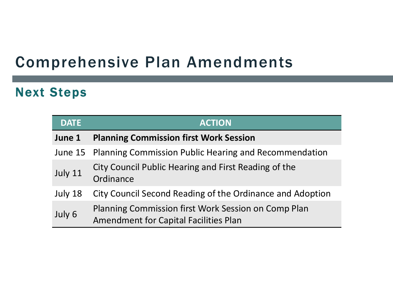#### Next Steps

| <b>DATE</b> | <b>ACTION</b>                                                                                       |
|-------------|-----------------------------------------------------------------------------------------------------|
| June 1      | <b>Planning Commission first Work Session</b>                                                       |
|             | June 15 Planning Commission Public Hearing and Recommendation                                       |
| July 11     | City Council Public Hearing and First Reading of the<br>Ordinance                                   |
| July 18     | City Council Second Reading of the Ordinance and Adoption                                           |
| July 6      | Planning Commission first Work Session on Comp Plan<br><b>Amendment for Capital Facilities Plan</b> |